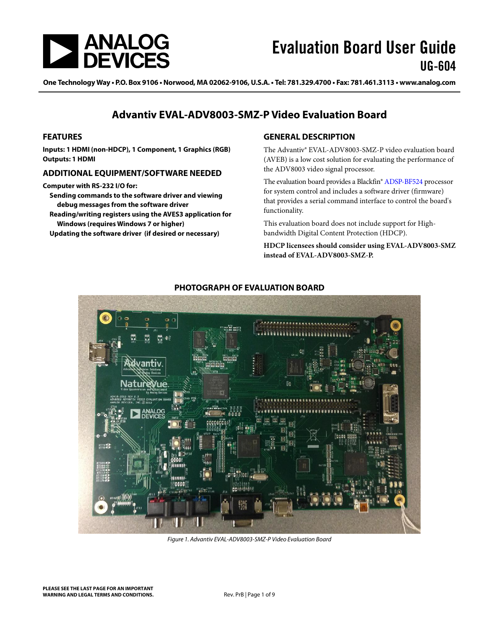

One Technology Way · P.O. Box 9106 · Norwood, MA 02062-9106, U.S.A. · Tel: 781.329.4700 · Fax: 781.461.3113 · www.analog.com

### **Advantiv EVAL-ADV8003-SMZ-P Video Evaluation Board**

#### **FEATURES**

**Inputs: 1 HDMI (non-HDCP), 1 Component, 1 Graphics (RGB) Outputs: 1 HDMI** 

#### **ADDITIONAL EQUIPMENT/SOFTWARE NEEDED**

**Computer with RS-232 I/O for:** 

**Sending commands to the software driver and viewing debug messages from the software driver** 

**Reading/writing registers using the AVES3 application for Windows (requires Windows 7 or higher)** 

**Updating the software driver (if desired or necessary)** 

### **GENERAL DESCRIPTION**

The Advantiv® EVAL-ADV8003-SMZ-P video evaluation board (AVEB) is a low cost solution for evaluating the performance of the ADV8003 video signal processor.

The evaluation board provides a Blackfin® ADSP-BF524 processor for system control and includes a software driver (firmware) that provides a serial command interface to control the board's functionality.

This evaluation board does not include support for Highbandwidth Digital Content Protection (HDCP).

**HDCP licensees should consider using EVAL-ADV8003-SMZ instead of EVAL-ADV8003-SMZ-P.** 



**PHOTOGRAPH OF EVALUATION BOARD** 

Figure 1. Advantiv EVAL-ADV8003-SMZ-P Video Evaluation Board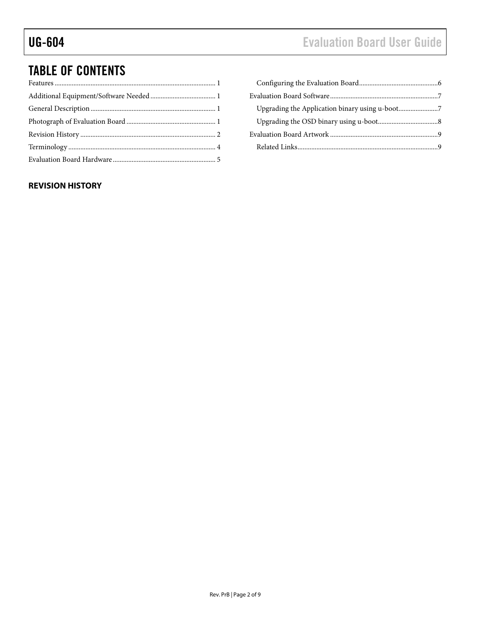# TABLE OF CONTENTS

### **REVISION HISTORY**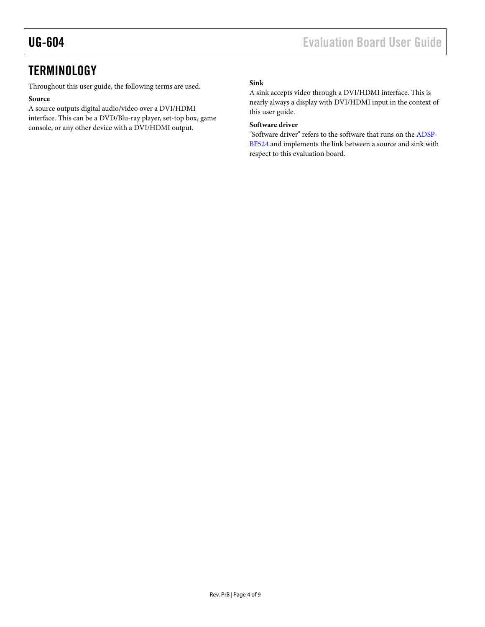# **TERMINOLOGY**

Throughout this user guide, the following terms are used.

### **Source**

A source outputs digital audio/video over a DVI/HDMI interface. This can be a DVD/Blu-ray player, set-top box, game console, or any other device with a DVI/HDMI output.

### **Sink**

A sink accepts video through a DVI/HDMI interface. This is nearly always a display with DVI/HDMI input in the context of this user guide.

### **Software driver**

"Software driver" refers to the software that runs on the ADSP-BF524 and implements the link between a source and sink with respect to this evaluation board.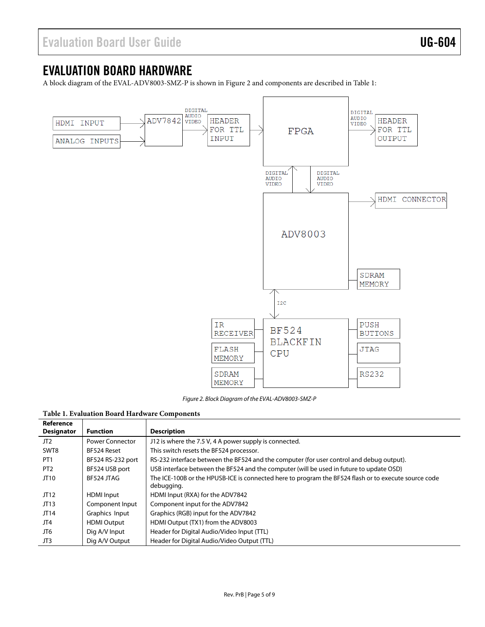# EVALUATION BOARD HARDWARE

A block diagram of the EVAL-ADV8003-SMZ-P is shown in Figure 2 and components are described in Table 1:



Figure 2. Block Diagram of the EVAL-ADV8003-SMZ-P

#### **Table 1. Evaluation Board Hardware Components**

| Reference         |                        |                                                                                                                    |
|-------------------|------------------------|--------------------------------------------------------------------------------------------------------------------|
| <b>Designator</b> | <b>Function</b>        | <b>Description</b>                                                                                                 |
| JT <sub>2</sub>   | <b>Power Connector</b> | J12 is where the 7.5 V, 4 A power supply is connected.                                                             |
| SWT8              | BF524 Reset            | This switch resets the BF524 processor.                                                                            |
| PT <sub>1</sub>   | BF524 RS-232 port      | RS-232 interface between the BF524 and the computer (for user control and debug output).                           |
| PT <sub>2</sub>   | BF524 USB port         | USB interface between the BF524 and the computer (will be used in future to update OSD)                            |
| JT10              | BF524 JTAG             | The ICE-100B or the HPUSB-ICE is connected here to program the BF524 flash or to execute source code<br>debugging. |
| JT12              | <b>HDMI</b> Input      | HDMI Input (RXA) for the ADV7842                                                                                   |
| JT13              | Component Input        | Component input for the ADV7842                                                                                    |
| JT14              | Graphics Input         | Graphics (RGB) input for the ADV7842                                                                               |
| JT4               | <b>HDMI Output</b>     | HDMI Output (TX1) from the ADV8003                                                                                 |
| JT6               | Dig A/V Input          | Header for Digital Audio/Video Input (TTL)                                                                         |
| JT3               | Dig A/V Output         | Header for Digital Audio/Video Output (TTL)                                                                        |
|                   |                        |                                                                                                                    |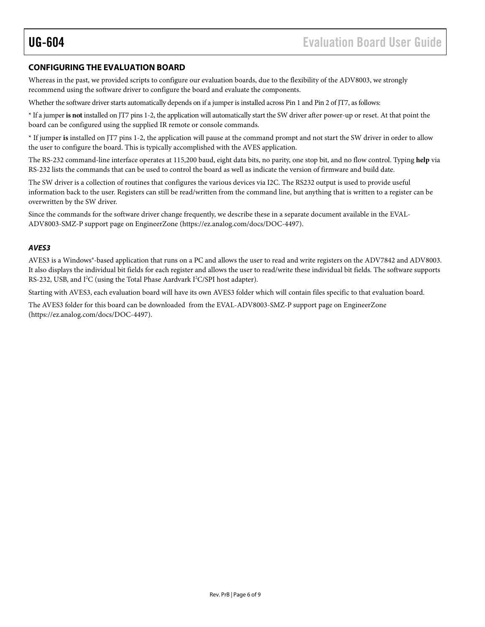### **CONFIGURING THE EVALUATION BOARD**

Whereas in the past, we provided scripts to configure our evaluation boards, due to the flexibility of the ADV8003, we strongly recommend using the software driver to configure the board and evaluate the components.

Whether the software driver starts automatically depends on if a jumper is installed across Pin 1 and Pin 2 of JT7, as follows:

\* If a jumper **is not** installed on JT7 pins 1-2, the application will automatically start the SW driver after power-up or reset. At that point the board can be configured using the supplied IR remote or console commands.

\* If jumper **is** installed on JT7 pins 1-2, the application will pause at the command prompt and not start the SW driver in order to allow the user to configure the board. This is typically accomplished with the AVES application.

The RS-232 command-line interface operates at 115,200 baud, eight data bits, no parity, one stop bit, and no flow control. Typing **help** via RS-232 lists the commands that can be used to control the board as well as indicate the version of firmware and build date.

The SW driver is a collection of routines that configures the various devices via I2C. The RS232 output is used to provide useful information back to the user. Registers can still be read/written from the command line, but anything that is written to a register can be overwritten by the SW driver.

Since the commands for the software driver change frequently, we describe these in a separate document available in the EVAL-ADV8003-SMZ-P support page on EngineerZone (https://ez.analog.com/docs/DOC-4497).

### **AVES3**

AVES3 is a Windows®-based application that runs on a PC and allows the user to read and write registers on the ADV7842 and ADV8003. It also displays the individual bit fields for each register and allows the user to read/write these individual bit fields. The software supports RS-232, USB, and I<sup>2</sup>C (using the Total Phase Aardvark I<sup>2</sup>C/SPI host adapter).

Starting with AVES3, each evaluation board will have its own AVES3 folder which will contain files specific to that evaluation board.

The AVES3 folder for this board can be downloaded from the EVAL-ADV8003-SMZ-P support page on EngineerZone (https://ez.analog.com/docs/DOC-4497).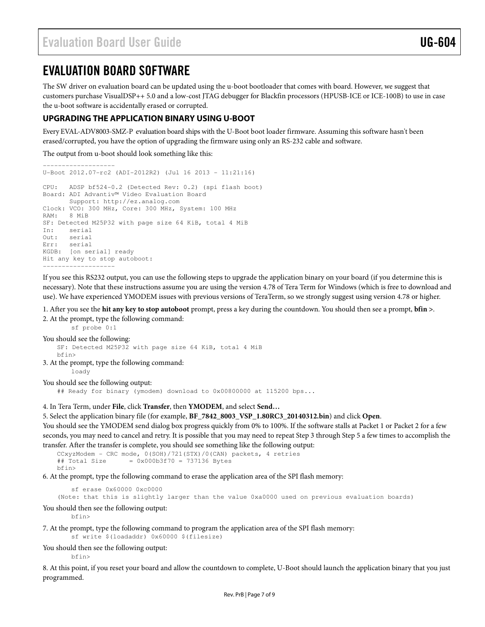## EVALUATION BOARD SOFTWARE

The SW driver on evaluation board can be updated using the u-boot bootloader that comes with board. However, we suggest that customers purchase VisualDSP++ 5.0 and a low-cost JTAG debugger for Blackfin processors (HPUSB-ICE or ICE-100B) to use in case the u-boot software is accidentally erased or corrupted.

### **UPGRADING THE APPLICATION BINARY USING U-BOOT**

Every EVAL-ADV8003-SMZ-P evaluation board ships with the U-Boot boot loader firmware. Assuming this software hasn't been erased/corrupted, you have the option of upgrading the firmware using only an RS-232 cable and software.

The output from u-boot should look something like this:

```
------------------- 
U-Boot 2012.07-rc2 (ADI-2012R2) (Jul 16 2013 - 11:21:16) 
CPU: ADSP bf524-0.2 (Detected Rev: 0.2) (spi flash boot) 
Board: ADI Advantiv™ Video Evaluation Board 
       Support: http://ez.analog.com 
Clock: VCO: 300 MHz, Core: 300 MHz, System: 100 MHz
RAM: 8 MiB 
SF: Detected M25P32 with page size 64 KiB, total 4 MiB 
In: serial 
Out: serial 
Err: serial 
KGDB: [on serial] ready 
Hit any key to stop autoboot: 
-------------------
```
If you see this RS232 output, you can use the following steps to upgrade the application binary on your board (if you determine this is necessary). Note that these instructions assume you are using the version 4.78 of Tera Term for Windows (which is free to download and use). We have experienced YMODEM issues with previous versions of TeraTerm, so we strongly suggest using version 4.78 or higher.

1. After you see the **hit any key to stop autoboot** prompt, press a key during the countdown. You should then see a prompt, **bfin >**.

2. At the prompt, type the following command:

```
 sf probe 0:1
```

```
You should see the following:
    SF: Detected M25P32 with page size 64 KiB, total 4 MiB 
    bfin> 
3. At the prompt, type the following command:
        loady
```
You should see the following output:

## Ready for binary (ymodem) download to 0x00800000 at 115200 bps...

4. In Tera Term, under **File**, click **Transfer**, then **YMODEM**, and select **Send…**

5. Select the application binary file (for example, **BF\_7842\_8003\_VSP\_1.80RC3\_20140312.bin**) and click **Open**.

You should see the YMODEM send dialog box progress quickly from 0% to 100%. If the software stalls at Packet 1 or Packet 2 for a few seconds, you may need to cancel and retry. It is possible that you may need to repeat Step 3 through Step 5 a few times to accomplish the transfer. After the transfer is complete, you should see something like the following output:

```
CCxyzModem - CRC mode, 0(SOH)/721(STX)/0(CAN) packets, 4 retries 
## Total Size = 0x000b3f70 = 737136 Bytes 
bfin>
```
6. At the prompt, type the following command to erase the application area of the SPI flash memory:

sf erase 0x60000 0xc0000

(Note: that this is slightly larger than the value 0xa0000 used on previous evaluation boards)

You should then see the following output:

bfin>

7. At the prompt, type the following command to program the application area of the SPI flash memory:

sf write \$(loadaddr) 0x60000 \$(filesize)

You should then see the following output:

bfin>

8. At this point, if you reset your board and allow the countdown to complete, U-Boot should launch the application binary that you just programmed.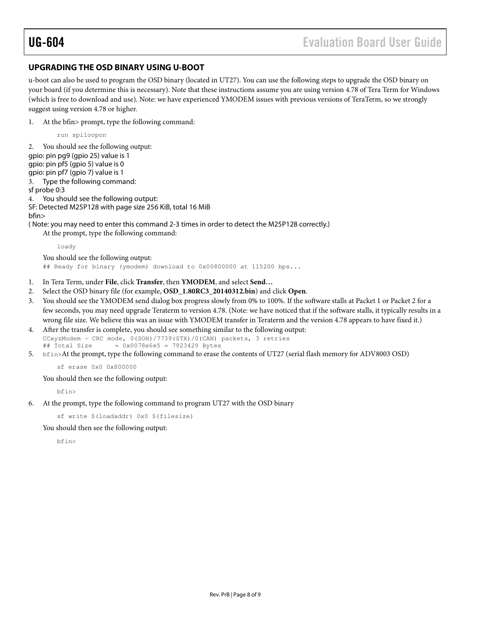### **UPGRADING THE OSD BINARY USING U-BOOT**

u-boot can also be used to program the OSD binary (located in UT27). You can use the following steps to upgrade the OSD binary on your board (if you determine this is necessary). Note that these instructions assume you are using version 4.78 of Tera Term for Windows (which is free to download and use). Note: we have experienced YMODEM issues with previous versions of TeraTerm, so we strongly suggest using version 4.78 or higher.

1. At the bfin> prompt, type the following command:

run spiloopon

2. You should see the following output: gpio: pin pg9 (gpio 25) value is 1 gpio: pin pf5 (gpio 5) value is 0 gpio: pin pf7 (gpio 7) value is 1 3. Type the following command: sf probe 0:3 4. You should see the following output: SF: Detected M25P128 with page size 256 KiB, total 16 MiB bfin> ( Note: you may need to enter this command 2-3 times in order to detect the M25P128 correctly.) At the prompt, type the following command: loady You should see the following output: ## Ready for binary (ymodem) download to 0x00800000 at 115200 bps...

- 1. In Tera Term, under **File**, click **Transfer**, then **YMODEM**, and select **Send…**
- 2. Select the OSD binary file (for example, **OSD\_1.80RC3\_20140312.bin**) and click **Open**.
- 3. You should see the YMODEM send dialog box progress slowly from 0% to 100%. If the software stalls at Packet 1 or Packet 2 for a few seconds, you may need upgrade Teraterm to version 4.78. (Note: we have noticed that if the software stalls, it typically results in a wrong file size. We believe this was an issue with YMODEM transfer in Teraterm and the version 4.78 appears to have fixed it.)
- 4. After the transfer is complete, you should see something similar to the following output:  $CCxyzModem - CRC mode, 0(SOH)/7739(STX)/0(CAN) packets, 3 vertices  
# Total Size =  $0x0078e6e5 = 7923429$ Bytes$  $= 0x0078e6e5 = 7923429$  Bytes
- 5. bfin>At the prompt, type the following command to erase the contents of UT27 (serial flash memory for ADV8003 OSD)

sf erase 0x0 0x800000

You should then see the following output:

bfin>

6. At the prompt, type the following command to program UT27 with the OSD binary

sf write \$(loadaddr) 0x0 \$(filesize)

You should then see the following output:

bfin>